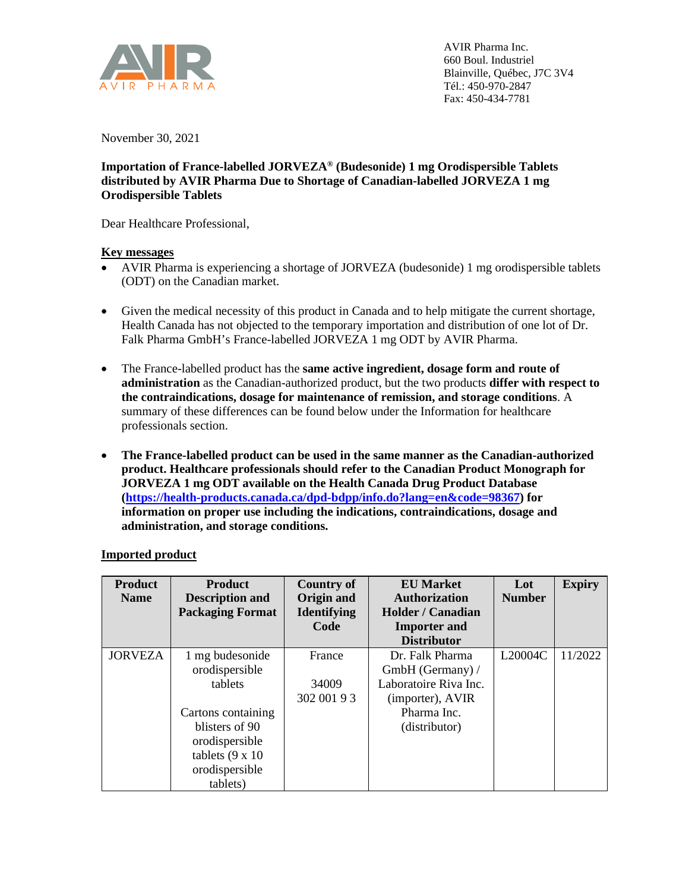

November 30, 2021

## **Importation of France-labelled JORVEZA® (Budesonide) 1 mg Orodispersible Tablets distributed by AVIR Pharma Due to Shortage of Canadian-labelled JORVEZA 1 mg Orodispersible Tablets**

Dear Healthcare Professional,

## **Key messages**

- AVIR Pharma is experiencing a shortage of JORVEZA (budesonide) 1 mg orodispersible tablets (ODT) on the Canadian market.
- Given the medical necessity of this product in Canada and to help mitigate the current shortage, Health Canada has not objected to the temporary importation and distribution of one lot of Dr. Falk Pharma GmbH's France-labelled JORVEZA 1 mg ODT by AVIR Pharma.
- The France-labelled product has the **same active ingredient, dosage form and route of administration** as the Canadian-authorized product, but the two products **differ with respect to the contraindications, dosage for maintenance of remission, and storage conditions**. A summary of these differences can be found below under the Information for healthcare professionals section.
- **The France-labelled product can be used in the same manner as the Canadian-authorized product. Healthcare professionals should refer to the Canadian Product Monograph for JORVEZA 1 mg ODT available on the Health Canada Drug Product Database [\(https://health-products.canada.ca/dpd-bdpp/info.do?lang=en&code=98367\)](https://health-products.canada.ca/dpd-bdpp/info.do?lang=en&code=98367) for information on proper use including the indications, contraindications, dosage and administration, and storage conditions.**

| <b>Product</b><br><b>Name</b> | <b>Product</b><br><b>Description and</b><br><b>Packaging Format</b>                                             | <b>Country of</b><br>Origin and<br><b>Identifying</b> | <b>EU Market</b><br><b>Authorization</b><br><b>Holder / Canadian</b> | Lot<br><b>Number</b> | <b>Expiry</b> |
|-------------------------------|-----------------------------------------------------------------------------------------------------------------|-------------------------------------------------------|----------------------------------------------------------------------|----------------------|---------------|
|                               |                                                                                                                 | Code                                                  | <b>Importer and</b><br><b>Distributor</b>                            |                      |               |
| <b>JORVEZA</b>                | 1 mg budesonide<br>orodispersible                                                                               | France                                                | Dr. Falk Pharma<br>GmbH (Germany) /                                  | L20004C              | 11/2022       |
|                               | tablets                                                                                                         | 34009<br>302 001 93                                   | Laboratoire Riva Inc.<br>(importer), AVIR                            |                      |               |
|                               | Cartons containing<br>blisters of 90<br>orodispersible<br>tablets $(9 \times 10)$<br>orodispersible<br>tablets) |                                                       | Pharma Inc.<br>(distributor)                                         |                      |               |

# **Imported product**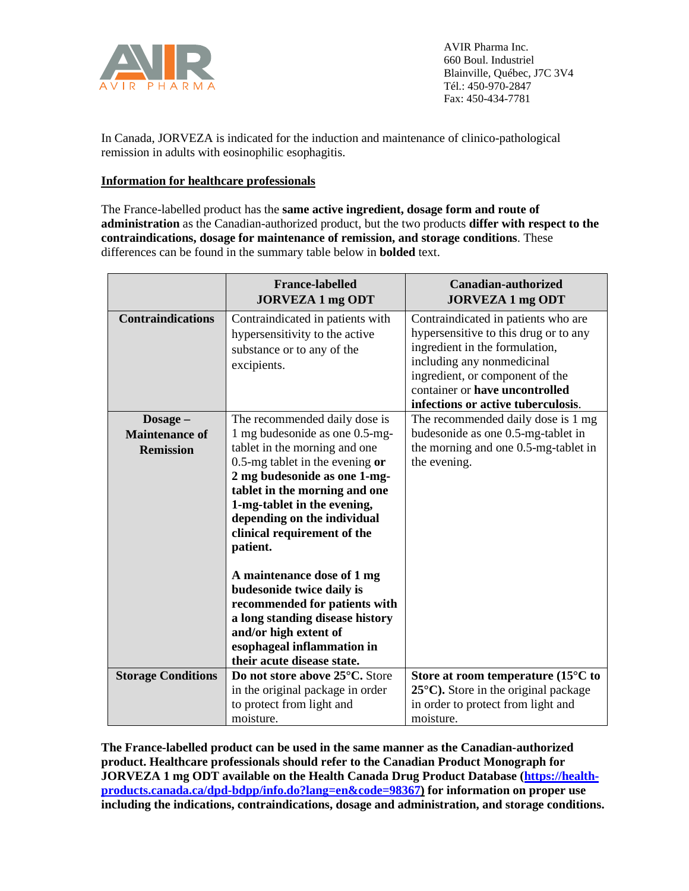

In Canada, JORVEZA is indicated for the induction and maintenance of clinico-pathological remission in adults with eosinophilic esophagitis.

## **Information for healthcare professionals**

The France-labelled product has the **same active ingredient, dosage form and route of administration** as the Canadian-authorized product, but the two products **differ with respect to the contraindications, dosage for maintenance of remission, and storage conditions**. These differences can be found in the summary table below in **bolded** text.

|                                                       | <b>France-labelled</b><br><b>JORVEZA 1 mg ODT</b>                                                                                                                                                                                                                                                                                                                                                                                                                                                                                   | <b>Canadian-authorized</b><br><b>JORVEZA 1 mg ODT</b>                                                                                                                                                                                                   |
|-------------------------------------------------------|-------------------------------------------------------------------------------------------------------------------------------------------------------------------------------------------------------------------------------------------------------------------------------------------------------------------------------------------------------------------------------------------------------------------------------------------------------------------------------------------------------------------------------------|---------------------------------------------------------------------------------------------------------------------------------------------------------------------------------------------------------------------------------------------------------|
| <b>Contraindications</b>                              | Contraindicated in patients with<br>hypersensitivity to the active<br>substance or to any of the<br>excipients.                                                                                                                                                                                                                                                                                                                                                                                                                     | Contraindicated in patients who are<br>hypersensitive to this drug or to any<br>ingredient in the formulation,<br>including any nonmedicinal<br>ingredient, or component of the<br>container or have uncontrolled<br>infections or active tuberculosis. |
| Dosage -<br><b>Maintenance of</b><br><b>Remission</b> | The recommended daily dose is<br>1 mg budesonide as one 0.5-mg-<br>tablet in the morning and one<br>0.5-mg tablet in the evening $or$<br>2 mg budesonide as one 1-mg-<br>tablet in the morning and one<br>1-mg-tablet in the evening,<br>depending on the individual<br>clinical requirement of the<br>patient.<br>A maintenance dose of 1 mg<br>budesonide twice daily is<br>recommended for patients with<br>a long standing disease history<br>and/or high extent of<br>esophageal inflammation in<br>their acute disease state. | The recommended daily dose is 1 mg<br>budesonide as one 0.5-mg-tablet in<br>the morning and one 0.5-mg-tablet in<br>the evening.                                                                                                                        |
| <b>Storage Conditions</b>                             | Do not store above 25°C. Store                                                                                                                                                                                                                                                                                                                                                                                                                                                                                                      | Store at room temperature (15 $\rm ^{\circ}C$ to                                                                                                                                                                                                        |
|                                                       | in the original package in order<br>to protect from light and<br>moisture.                                                                                                                                                                                                                                                                                                                                                                                                                                                          | $25^{\circ}$ C). Store in the original package<br>in order to protect from light and<br>moisture.                                                                                                                                                       |

**The France-labelled product can be used in the same manner as the Canadian-authorized product. Healthcare professionals should refer to the Canadian Product Monograph for JORVEZA 1 mg ODT available on the Health Canada Drug Product Database [\(https://health](https://health-products.canada.ca/dpd-bdpp/info.do?lang=en&code=98367)[products.canada.ca/dpd-bdpp/info.do?lang=en&code=98367\)](https://health-products.canada.ca/dpd-bdpp/info.do?lang=en&code=98367) for information on proper use including the indications, contraindications, dosage and administration, and storage conditions.**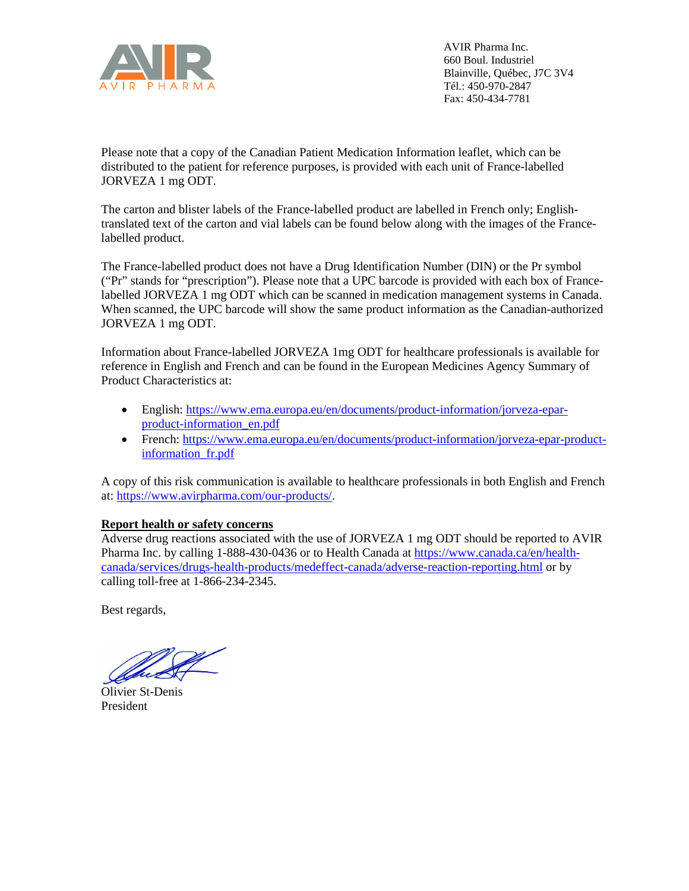

Please note that a copy of the Canadian Patient Medication Information leaflet, which can be distributed to the patient for reference purposes, is provided with each unit of France-labelled JORVEZA 1 mg ODT.

The carton and blister labels of the France-labelled product are labelled in French only; Englishtranslated text of the carton and vial labels can be found below along with the images of the Francelabelled product.

The France-labelled product does not have a Drug Identification Number (DIN) or the Pr symbol ("Pr" stands for "prescription"). Please note that a UPC barcode is provided with each box of Francelabelled JORVEZA 1 mg ODT which can be scanned in medication management systems in Canada. When scanned, the UPC barcode will show the same product information as the Canadian-authorized JORVEZA 1 mg ODT.

Information about France-labelled JORVEZA 1mg ODT for healthcare professionals is available for reference in English and French and can be found in the European Medicines Agency Summary of Product Characteristics at:

- English: [https://www.ema.europa.eu/en/documents/product-information/jorveza-epar](https://www.ema.europa.eu/en/documents/product-information/jorveza-epar-product-information_en.pdf)[product-information\\_en.pdf](https://www.ema.europa.eu/en/documents/product-information/jorveza-epar-product-information_en.pdf)
- French: [https://www.ema.europa.eu/en/documents/product-information/jorveza-epar-product](https://www.ema.europa.eu/en/documents/product-information/jorveza-epar-product-information_fr.pdf)[information\\_fr.pdf](https://www.ema.europa.eu/en/documents/product-information/jorveza-epar-product-information_fr.pdf)

A copy of this risk communication is available to healthcare professionals in both English and French at[: https://www.avirpharma.com/our-products/.](https://www.avirpharma.com/our-products/)

## **Report health or safety concerns**

Adverse drug reactions associated with the use of JORVEZA 1 mg ODT should be reported to AVIR Pharma Inc. by calling 1-888-430-0436 or to Health Canada at [https://www.canada.ca/en/health](https://www.canada.ca/en/health-canada/services/drugs-health-products/medeffect-canada/adverse-reaction-reporting.html)[canada/services/drugs-health-products/medeffect-canada/adverse-reaction-reporting.html](https://www.canada.ca/en/health-canada/services/drugs-health-products/medeffect-canada/adverse-reaction-reporting.html) or by calling toll-free at 1-866-234-2345.

Best regards,

Olivier St-Denis President